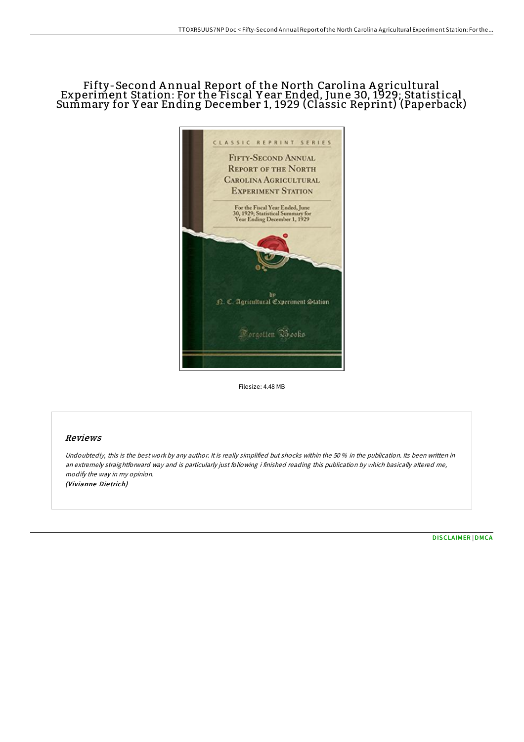## Fifty-Second A nnual Report of the North Carolina A gricultural Experiment Station: For the Fiscal Y ear Ended, June 30, 1929; Statistical Summary for Y ear Ending December 1, 1929 (Classic Reprint) (Paperback)



Filesize: 4.48 MB

## Reviews

Undoubtedly, this is the best work by any author. It is really simplified but shocks within the 50 % in the publication. Its been written in an extremely straightforward way and is particularly just following i finished reading this publication by which basically altered me, modify the way in my opinion. (Vivianne Die trich)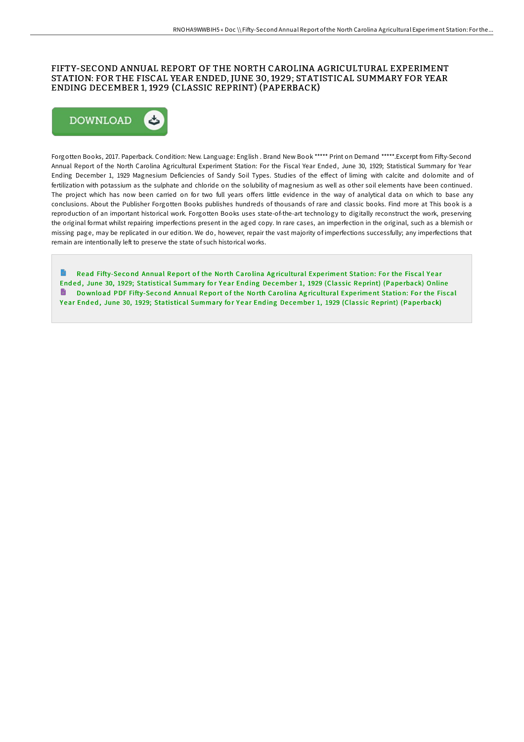## FIFTY-SECOND ANNUAL REPORT OF THE NORTH CAROLINA AGRICULTURAL EXPERIMENT STATION: FOR THE FISCAL YEAR ENDED, JUNE 30, 1929; STATISTICAL SUMMARY FOR YEAR ENDING DECEMBER 1, 1929 (CLASSIC REPRINT) (PAPERBACK)



Forgotten Books, 2017. Paperback. Condition: New. Language: English . Brand New Book \*\*\*\*\* Print on Demand \*\*\*\*\*.Excerpt from Fifty-Second Annual Report of the North Carolina Agricultural Experiment Station: For the Fiscal Year Ended, June 30, 1929; Statistical Summary for Year Ending December 1, 1929 Magnesium Deficiencies of Sandy Soil Types. Studies of the effect of liming with calcite and dolomite and of fertilization with potassium as the sulphate and chloride on the solubility of magnesium as well as other soil elements have been continued. The project which has now been carried on for two full years offers little evidence in the way of analytical data on which to base any conclusions. About the Publisher Forgotten Books publishes hundreds of thousands of rare and classic books. Find more at This book is a reproduction of an important historical work. Forgotten Books uses state-of-the-art technology to digitally reconstruct the work, preserving the original format whilst repairing imperfections present in the aged copy. In rare cases, an imperfection in the original, such as a blemish or missing page, may be replicated in our edition. We do, however, repair the vast majority of imperfections successfully; any imperfections that remain are intentionally left to preserve the state of such historical works.

Read Fifty-Second Annual Report of the North Carolina Agricultural Experiment Station: For the Fiscal Year Ended, June 30, 1929; Statistical [Summary](http://almighty24.tech/fifty-second-annual-report-of-the-north-carolina.html) for Year Ending December 1, 1929 (Classic Reprint) (Paperback) Online Do wnload PDF Fifty-Second Annual Report of the North Carolina Agricultural Experiment Station: For the Fiscal Year Ended, June 30, 1929; Statistical [Summary](http://almighty24.tech/fifty-second-annual-report-of-the-north-carolina.html) for Year Ending December 1, 1929 (Classic Reprint) (Paperback)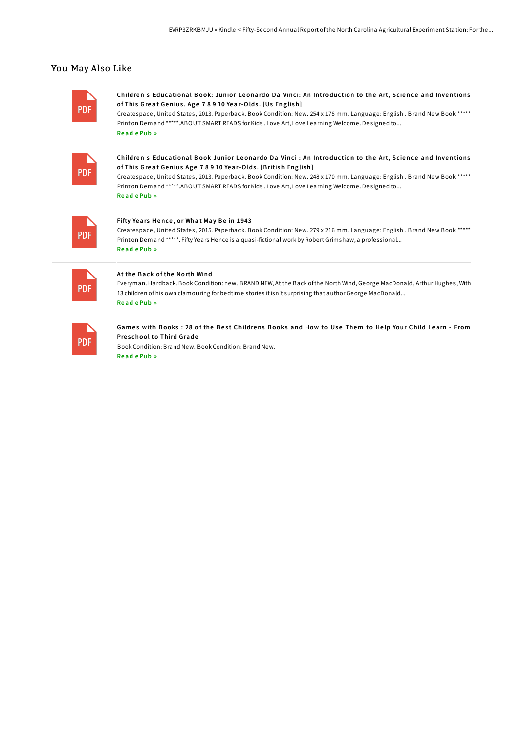## You May Also Like

| <b>PDF</b> | Children s Educational Book: Junior Leonardo Da Vinci: An Introduction to the Art, Science and Inventions<br>of This Great Genius. Age 78910 Year-Olds. [Us English]<br>Createspace, United States, 2013. Paperback. Book Condition: New. 254 x 178 mm. Language: English. Brand New Book *****<br>Print on Demand *****. ABOUT SMART READS for Kids . Love Art, Love Learning Welcome. Designed to<br>ReadePub»     |
|------------|----------------------------------------------------------------------------------------------------------------------------------------------------------------------------------------------------------------------------------------------------------------------------------------------------------------------------------------------------------------------------------------------------------------------|
| <b>PDF</b> | Children s Educational Book Junior Leonardo Da Vinci : An Introduction to the Art, Science and Inventions<br>of This Great Genius Age 78910 Year-Olds. [British English]<br>Createspace, United States, 2013. Paperback. Book Condition: New. 248 x 170 mm. Language: English. Brand New Book *****<br>Print on Demand *****. ABOUT SMART READS for Kids . Love Art, Love Learning Welcome. Designed to<br>ReadePub» |
| <b>PDF</b> | Fifty Years Hence, or What May Be in 1943<br>Createspace, United States, 2015. Paperback. Book Condition: New. 279 x 216 mm. Language: English. Brand New Book *****<br>Print on Demand *****. Fifty Years Hence is a quasi-fictional work by Robert Grimshaw, a professional<br>ReadePub »                                                                                                                          |
| <b>PDF</b> | At the Back of the North Wind<br>Everyman. Hardback. Book Condition: new. BRAND NEW, At the Back of the North Wind, George MacDonald, Arthur Hughes, With<br>13 children of his own clamouring for bedtime stories it isn't surprising that author George MacDonald<br>ReadePub»                                                                                                                                     |
| <b>PDF</b> | Games with Books: 28 of the Best Childrens Books and How to Use Them to Help Your Child Learn - From<br><b>Preschool to Third Grade</b><br>Book Condition: Brand New, Book Condition: Brand New,<br>Read ePub »                                                                                                                                                                                                      |